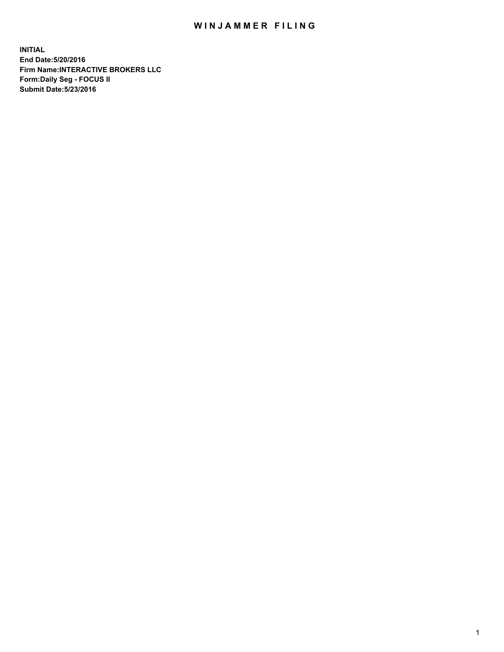## WIN JAMMER FILING

**INITIAL End Date:5/20/2016 Firm Name:INTERACTIVE BROKERS LLC Form:Daily Seg - FOCUS II Submit Date:5/23/2016**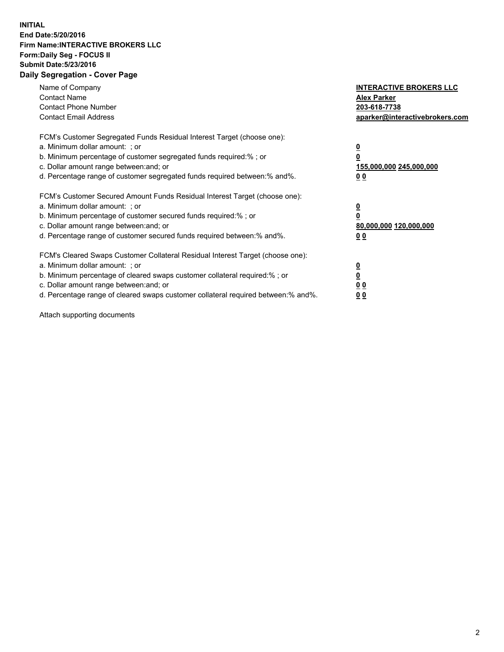## **INITIAL End Date:5/20/2016 Firm Name:INTERACTIVE BROKERS LLC Form:Daily Seg - FOCUS II Submit Date:5/23/2016 Daily Segregation - Cover Page**

| Name of Company<br><b>Contact Name</b><br><b>Contact Phone Number</b><br><b>Contact Email Address</b>                                                                                                                                                                                                                          | <b>INTERACTIVE BROKERS LLC</b><br><b>Alex Parker</b><br>203-618-7738<br>aparker@interactivebrokers.com |
|--------------------------------------------------------------------------------------------------------------------------------------------------------------------------------------------------------------------------------------------------------------------------------------------------------------------------------|--------------------------------------------------------------------------------------------------------|
| FCM's Customer Segregated Funds Residual Interest Target (choose one):<br>a. Minimum dollar amount: ; or<br>b. Minimum percentage of customer segregated funds required:%; or<br>c. Dollar amount range between: and; or<br>d. Percentage range of customer segregated funds required between:% and%.                          | <u>0</u><br>155,000,000 245,000,000<br><u>00</u>                                                       |
| FCM's Customer Secured Amount Funds Residual Interest Target (choose one):<br>a. Minimum dollar amount: ; or<br>b. Minimum percentage of customer secured funds required:% ; or<br>c. Dollar amount range between: and; or<br>d. Percentage range of customer secured funds required between: % and %.                         | <u>0</u><br>80,000,000 120,000,000<br><u>00</u>                                                        |
| FCM's Cleared Swaps Customer Collateral Residual Interest Target (choose one):<br>a. Minimum dollar amount: ; or<br>b. Minimum percentage of cleared swaps customer collateral required:% ; or<br>c. Dollar amount range between: and; or<br>d. Percentage range of cleared swaps customer collateral required between:% and%. | <u>0</u><br>0 <sub>0</sub><br>0 <sub>0</sub>                                                           |

Attach supporting documents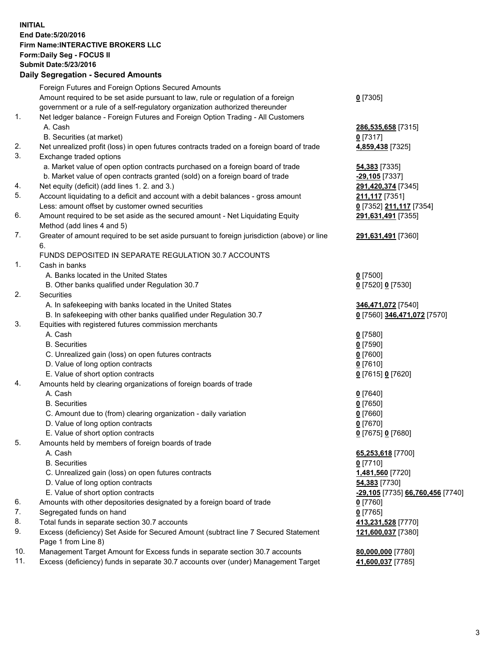## **INITIAL End Date:5/20/2016 Firm Name:INTERACTIVE BROKERS LLC Form:Daily Seg - FOCUS II Submit Date:5/23/2016 Daily Segregation - Secured Amounts**

|     | Foreign Futures and Foreign Options Secured Amounts                                         |                                  |
|-----|---------------------------------------------------------------------------------------------|----------------------------------|
|     | Amount required to be set aside pursuant to law, rule or regulation of a foreign            | $0$ [7305]                       |
|     | government or a rule of a self-regulatory organization authorized thereunder                |                                  |
| 1.  | Net ledger balance - Foreign Futures and Foreign Option Trading - All Customers             |                                  |
|     | A. Cash                                                                                     | 286,535,658 [7315]               |
|     | B. Securities (at market)                                                                   | $0$ [7317]                       |
| 2.  | Net unrealized profit (loss) in open futures contracts traded on a foreign board of trade   | 4,859,438 [7325]                 |
| 3.  | Exchange traded options                                                                     |                                  |
|     | a. Market value of open option contracts purchased on a foreign board of trade              | 54,383 [7335]                    |
|     | b. Market value of open contracts granted (sold) on a foreign board of trade                | $-29,105$ [7337]                 |
| 4.  | Net equity (deficit) (add lines 1.2. and 3.)                                                | 291,420,374 [7345]               |
| 5.  | Account liquidating to a deficit and account with a debit balances - gross amount           | 211,117 [7351]                   |
|     | Less: amount offset by customer owned securities                                            | 0 [7352] 211,117 [7354]          |
| 6.  | Amount required to be set aside as the secured amount - Net Liquidating Equity              | 291,631,491 [7355]               |
|     | Method (add lines 4 and 5)                                                                  |                                  |
| 7.  | Greater of amount required to be set aside pursuant to foreign jurisdiction (above) or line | 291,631,491 [7360]               |
|     | 6.                                                                                          |                                  |
|     | FUNDS DEPOSITED IN SEPARATE REGULATION 30.7 ACCOUNTS                                        |                                  |
| 1.  | Cash in banks                                                                               |                                  |
|     | A. Banks located in the United States                                                       | $0$ [7500]                       |
|     | B. Other banks qualified under Regulation 30.7                                              | 0 [7520] 0 [7530]                |
| 2.  | Securities                                                                                  |                                  |
|     | A. In safekeeping with banks located in the United States                                   | 346,471,072 [7540]               |
|     | B. In safekeeping with other banks qualified under Regulation 30.7                          | 0 [7560] 346,471,072 [7570]      |
| 3.  | Equities with registered futures commission merchants                                       |                                  |
|     | A. Cash                                                                                     |                                  |
|     | <b>B.</b> Securities                                                                        | $0$ [7580]                       |
|     |                                                                                             | $0$ [7590]                       |
|     | C. Unrealized gain (loss) on open futures contracts                                         | $0$ [7600]                       |
|     | D. Value of long option contracts                                                           | $0$ [7610]                       |
|     | E. Value of short option contracts                                                          | 0 [7615] 0 [7620]                |
| 4.  | Amounts held by clearing organizations of foreign boards of trade                           |                                  |
|     | A. Cash                                                                                     | $0$ [7640]                       |
|     | <b>B.</b> Securities                                                                        | $0$ [7650]                       |
|     | C. Amount due to (from) clearing organization - daily variation                             | $0$ [7660]                       |
|     | D. Value of long option contracts                                                           | $0$ [7670]                       |
|     | E. Value of short option contracts                                                          | 0 [7675] 0 [7680]                |
| 5.  | Amounts held by members of foreign boards of trade                                          |                                  |
|     | A. Cash                                                                                     | 65,253,618 [7700]                |
|     | <b>B.</b> Securities                                                                        | $0$ [7710]                       |
|     | C. Unrealized gain (loss) on open futures contracts                                         | 1,481,560 [7720]                 |
|     | D. Value of long option contracts                                                           | 54,383 [7730]                    |
|     | E. Value of short option contracts                                                          | -29,105 [7735] 66,760,456 [7740] |
| 6.  | Amounts with other depositories designated by a foreign board of trade                      | $0$ [7760]                       |
| 7.  | Segregated funds on hand                                                                    | $0$ [7765]                       |
| 8.  | Total funds in separate section 30.7 accounts                                               | 413,231,528 [7770]               |
| 9.  | Excess (deficiency) Set Aside for Secured Amount (subtract line 7 Secured Statement         | 121,600,037 [7380]               |
|     | Page 1 from Line 8)                                                                         |                                  |
| 10. | Management Target Amount for Excess funds in separate section 30.7 accounts                 | 80,000,000 [7780]                |
| 11. | Excess (deficiency) funds in separate 30.7 accounts over (under) Management Target          | 41,600,037 [7785]                |
|     |                                                                                             |                                  |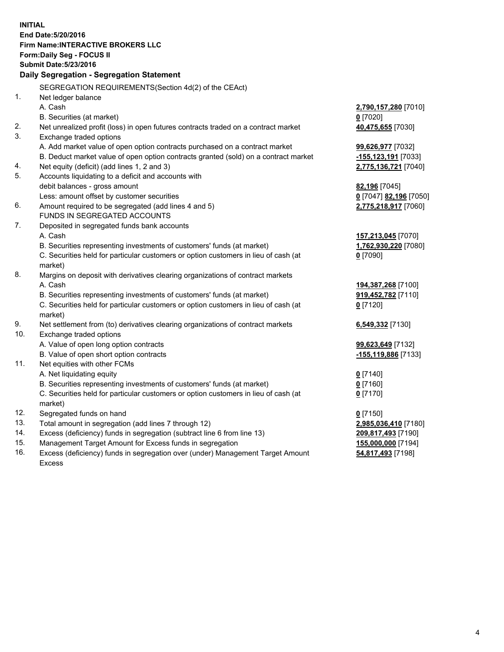**INITIAL End Date:5/20/2016 Firm Name:INTERACTIVE BROKERS LLC Form:Daily Seg - FOCUS II Submit Date:5/23/2016 Daily Segregation - Segregation Statement** SEGREGATION REQUIREMENTS(Section 4d(2) of the CEAct) 1. Net ledger balance A. Cash **2,790,157,280** [7010] B. Securities (at market) **0** [7020] 2. Net unrealized profit (loss) in open futures contracts traded on a contract market **40,475,655** [7030] 3. Exchange traded options A. Add market value of open option contracts purchased on a contract market **99,626,977** [7032] B. Deduct market value of open option contracts granted (sold) on a contract market **-155,123,191** [7033] 4. Net equity (deficit) (add lines 1, 2 and 3) **2,775,136,721** [7040] 5. Accounts liquidating to a deficit and accounts with debit balances - gross amount **82,196** [7045] Less: amount offset by customer securities **0** [7047] **82,196** [7050] 6. Amount required to be segregated (add lines 4 and 5) **2,775,218,917** [7060] FUNDS IN SEGREGATED ACCOUNTS 7. Deposited in segregated funds bank accounts A. Cash **157,213,045** [7070] B. Securities representing investments of customers' funds (at market) **1,762,930,220** [7080] C. Securities held for particular customers or option customers in lieu of cash (at market) **0** [7090] 8. Margins on deposit with derivatives clearing organizations of contract markets A. Cash **194,387,268** [7100] B. Securities representing investments of customers' funds (at market) **919,452,782** [7110] C. Securities held for particular customers or option customers in lieu of cash (at market) **0** [7120] 9. Net settlement from (to) derivatives clearing organizations of contract markets **6,549,332** [7130] 10. Exchange traded options A. Value of open long option contracts **99,623,649** [7132] B. Value of open short option contracts **-155,119,886** [7133] 11. Net equities with other FCMs A. Net liquidating equity **0** [7140] B. Securities representing investments of customers' funds (at market) **0** [7160] C. Securities held for particular customers or option customers in lieu of cash (at market) **0** [7170] 12. Segregated funds on hand **0** [7150] 13. Total amount in segregation (add lines 7 through 12) **2,985,036,410** [7180] 14. Excess (deficiency) funds in segregation (subtract line 6 from line 13) **209,817,493** [7190] 15. Management Target Amount for Excess funds in segregation **155,000,000** [7194] 16. Excess (deficiency) funds in segregation over (under) Management Target Amount **54,817,493** [7198]

Excess